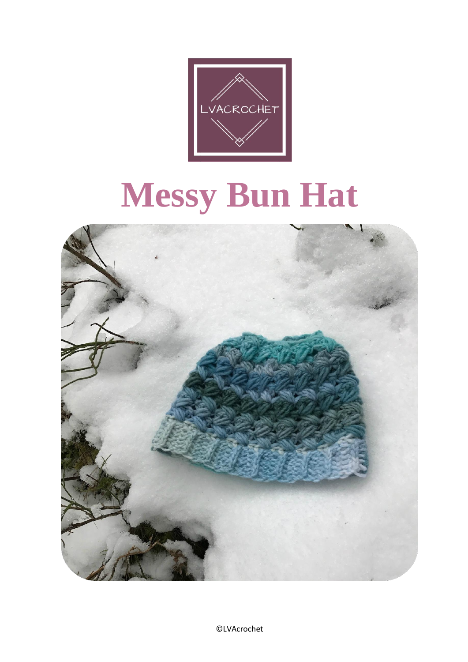

# **Messy Bun Hat**

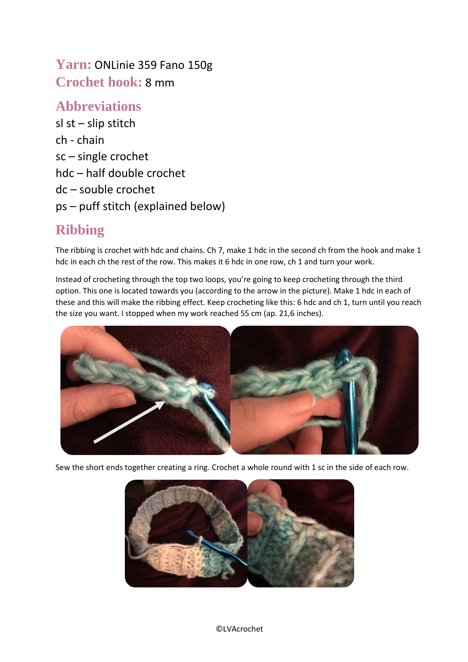**Yarn:** ONLinie 359 Fano 150g **Crochet hook:** 8 mm

### **Abbreviations**

sl st – slip stitch ch - chain sc – single crochet hdc – half double crochet dc – souble crochet ps – puff stitch (explained below)

## **Ribbing**

The ribbing is crochet with hdc and chains. Ch 7, make 1 hdc in the second ch from the hook and make 1 hdc in each ch the rest of the row. This makes it 6 hdc in one row, ch 1 and turn your work.

Instead of crocheting through the top two loops, you're going to keep crocheting through the third option. This one is located towards you (according to the arrow in the picture). Make 1 hdc in each of these and this will make the ribbing effect. Keep crocheting like this: 6 hdc and ch 1, turn until you reach the size you want. I stopped when my work reached 55 cm (ap. 21,6 inches).



Sew the short ends together creating a ring. Crochet a whole round with 1 sc in the side of each row.

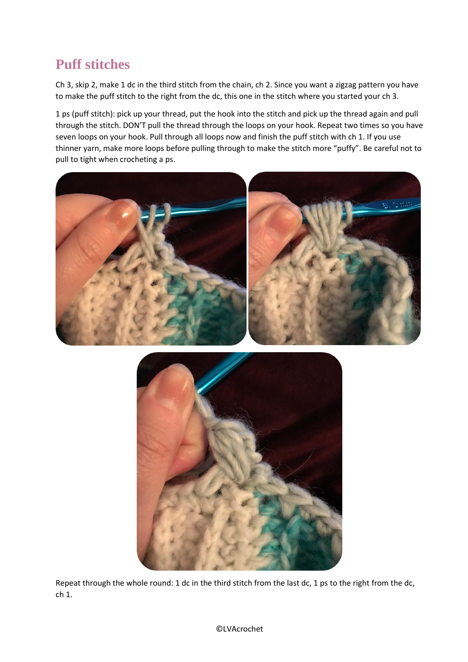## **Puff stitches**

Ch 3, skip 2, make 1 dc in the third stitch from the chain, ch 2. Since you want a zigzag pattern you have to make the puff stitch to the right from the dc, this one in the stitch where you started your ch 3.

1 ps (puff stitch): pick up your thread, put the hook into the stitch and pick up the thread again and pull through the stitch. DON'T pull the thread through the loops on your hook. Repeat two times so you have seven loops on your hook. Pull through all loops now and finish the puff stitch with ch 1. If you use thinner yarn, make more loops before pulling through to make the stitch more "puffy". Be careful not to pull to tight when crocheting a ps.





Repeat through the whole round: 1 dc in the third stitch from the last dc, 1 ps to the right from the dc, ch 1.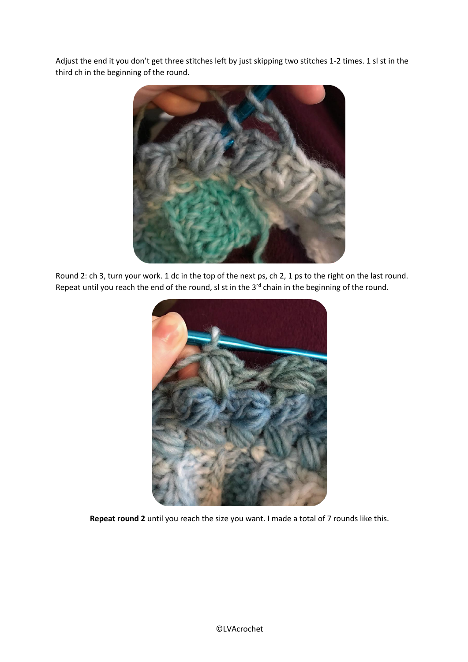Adjust the end it you don't get three stitches left by just skipping two stitches 1-2 times. 1 sl st in the third ch in the beginning of the round.



Round 2: ch 3, turn your work. 1 dc in the top of the next ps, ch 2, 1 ps to the right on the last round. Repeat until you reach the end of the round, sl st in the 3<sup>rd</sup> chain in the beginning of the round.



**Repeat round 2** until you reach the size you want. I made a total of 7 rounds like this.